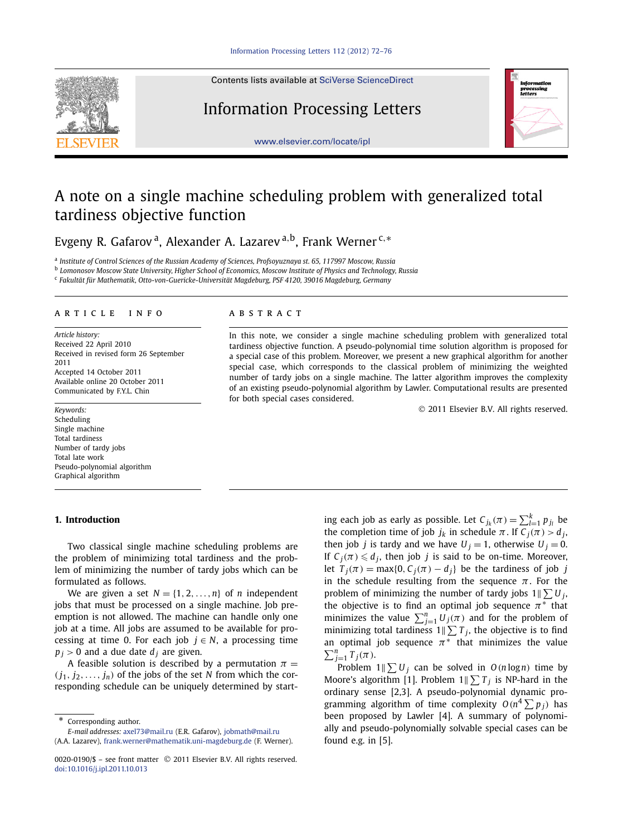## Contents lists available at [SciVerse ScienceDirect](http://www.ScienceDirect.com/)

# Information Processing Letters



[www.elsevier.com/locate/ipl](http://www.elsevier.com/locate/ipl)

# A note on a single machine scheduling problem with generalized total tardiness objective function

Evgeny R. Gafarov a, Alexander A. Lazarev <sup>a</sup>*,*b, Frank Werner <sup>c</sup>*,*<sup>∗</sup>

<sup>a</sup> *Institute of Control Sciences of the Russian Academy of Sciences, Profsoyuznaya st. 65, 117997 Moscow, Russia*

<sup>b</sup> *Lomonosov Moscow State University, Higher School of Economics, Moscow Institute of Physics and Technology, Russia*

<sup>c</sup> *Fakultät für Mathematik, Otto-von-Guericke-Universität Magdeburg, PSF 4120, 39016 Magdeburg, Germany*

### article info abstract

*Article history:* Received 22 April 2010 Received in revised form 26 September 2011 Accepted 14 October 2011 Available online 20 October 2011 Communicated by F.Y.L. Chin

*Keywords:* Scheduling Single machine Total tardiness Number of tardy jobs Total late work Pseudo-polynomial algorithm Graphical algorithm

### **1. Introduction**

Two classical single machine scheduling problems are the problem of minimizing total tardiness and the problem of minimizing the number of tardy jobs which can be formulated as follows.

We are given a set  $N = \{1, 2, ..., n\}$  of *n* independent jobs that must be processed on a single machine. Job preemption is not allowed. The machine can handle only one job at a time. All jobs are assumed to be available for processing at time 0. For each job  $j \in N$ , a processing time  $p_j > 0$  and a due date  $d_j$  are given.

A feasible solution is described by a permutation  $\pi$  =  $(j_1, j_2, \ldots, j_n)$  of the jobs of the set *N* from which the corresponding schedule can be uniquely determined by start-

Corresponding author. *E-mail addresses:* [axel73@mail.ru](mailto:axel73@mail.ru) (E.R. Gafarov), [jobmath@mail.ru](mailto:jobmath@mail.ru)

(A.A. Lazarev), [frank.werner@mathematik.uni-magdeburg.de](mailto:frank.werner@mathematik.uni-magdeburg.de) (F. Werner).

In this note, we consider a single machine scheduling problem with generalized total tardiness objective function. A pseudo-polynomial time solution algorithm is proposed for a special case of this problem. Moreover, we present a new graphical algorithm for another special case, which corresponds to the classical problem of minimizing the weighted number of tardy jobs on a single machine. The latter algorithm improves the complexity of an existing pseudo-polynomial algorithm by Lawler. Computational results are presented for both special cases considered.

© 2011 Elsevier B.V. All rights reserved.

ing each job as early as possible. Let  $C_{j_k}(\pi) = \sum_{l=1}^k p_{j_l}$  be the completion time of job  $j_k$  in schedule  $\pi$ . If  $C_j(\pi) > d_j$ , then job *j* is tardy and we have  $U_j = 1$ , otherwise  $U_j = 0$ . If  $C_j(\pi) \leq d_j$ , then job *j* is said to be on-time. Moreover, let  $T_i(\pi) = \max\{0, C_i(\pi) - d_i\}$  be the tardiness of job *j* in the schedule resulting from the sequence  $\pi$ . For the problem of minimizing the number of tardy jobs  $1 \le U_j$ , the objective is to find an optimal job sequence *π*<sup>∗</sup> that minimizes the value  $\sum_{j=1}^{n} U_j(\pi)$  and for the problem of minimizing total tardiness  $1 \parallel \sum T_j$ , the objective is to find an optimal job sequence  $\pi^*$  that minimizes the value  $\sum_{j=1}^{n} T_j(\pi)$ .

Problem  $1 \le U_j$  can be solved in  $O(n \log n)$  time by Moore's algorithm [1]. Problem  $1 \leq T_j$  is NP-hard in the ordinary sense [2,3]. A pseudo-polynomial dynamic programming algorithm of time complexity  $O(n^4 \sum p_j)$  has been proposed by Lawler [4]. A summary of polynomially and pseudo-polynomially solvable special cases can be found e.g. in [5].

<sup>0020-0190/\$ –</sup> see front matter © 2011 Elsevier B.V. All rights reserved. [doi:10.1016/j.ipl.2011.10.013](http://dx.doi.org/10.1016/j.ipl.2011.10.013)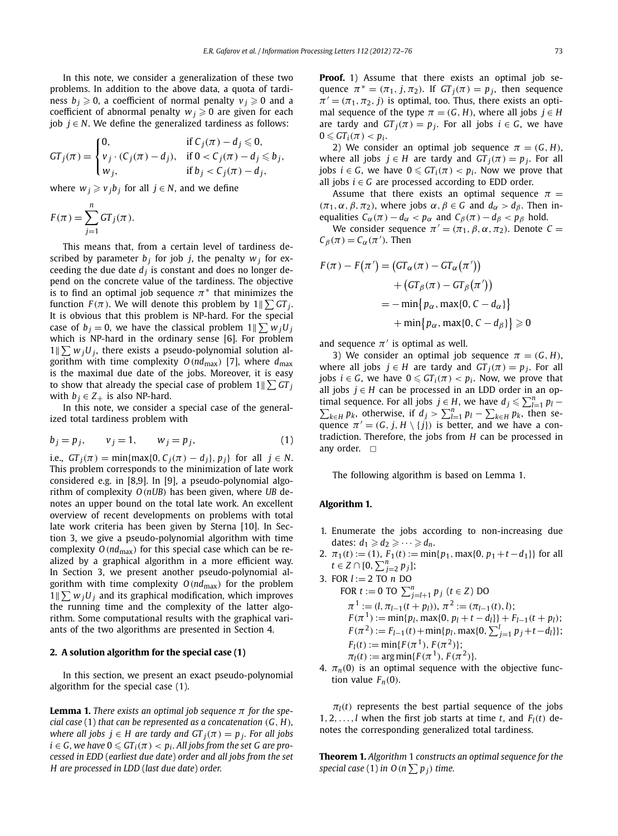In this note, we consider a generalization of these two problems. In addition to the above data, a quota of tardiness  $b_i \geq 0$ , a coefficient of normal penalty  $v_i \geq 0$  and a coefficient of abnormal penalty  $w_i \geq 0$  are given for each iob *. We define the generalized tardiness as follows:* 

$$
GT_j(\pi) = \begin{cases} 0, & \text{if } C_j(\pi) - d_j \leq 0, \\ v_j \cdot (C_j(\pi) - d_j), & \text{if } 0 < C_j(\pi) - d_j \leq b_j, \\ w_j, & \text{if } b_j < C_j(\pi) - d_j, \end{cases}
$$

where  $w_i \geq v_j b_j$  for all  $j \in N$ , and we define

$$
F(\pi) = \sum_{j=1}^{n} GT_j(\pi).
$$

This means that, from a certain level of tardiness described by parameter  $b_j$  for job *j*, the penalty  $w_j$  for exceeding the due date  $d_i$  is constant and does no longer depend on the concrete value of the tardiness. The objective is to find an optimal job sequence  $\pi$ <sup>\*</sup> that minimizes the function  $F(\pi)$ . We will denote this problem by  $1\|\sum G T_j.$ It is obvious that this problem is NP-hard. For the special case of  $b_j = 0$ , we have the classical problem  $1 \parallel \sum w_j U_j$ which is NP-hard in the ordinary sense [6]. For problem  $1 \, \|\sum w_j U_j\|$ , there exists a pseudo-polynomial solution algorithm with time complexity  $O(nd_{max})$  [7], where  $d_{max}$ is the maximal due date of the jobs. Moreover, it is easy to show that already the special case of problem  $1\|\sum GT_j$ with  $b_i \in Z_+$  is also NP-hard.

In this note, we consider a special case of the generalized total tardiness problem with

$$
b_j = p_j, \qquad v_j = 1, \qquad w_j = p_j,\tag{1}
$$

*i.e.,*  $GT_i(\pi) = \min\{\max\{0, C_i(\pi) - d_i\}, p_i\}$  for all  $j \in N$ . This problem corresponds to the minimization of late work considered e.g. in [8,9]. In [9], a pseudo-polynomial algorithm of complexity *O(nUB)* has been given, where *UB* denotes an upper bound on the total late work. An excellent overview of recent developments on problems with total late work criteria has been given by Sterna [10]. In Section 3, we give a pseudo-polynomial algorithm with time complexity  $O(nd_{max})$  for this special case which can be realized by a graphical algorithm in a more efficient way. In Section 3, we present another pseudo-polynomial algorithm with time complexity  $O(nd_{max})$  for the problem  $1 \nparallel \sum w_j U_j$  and its graphical modification, which improves the running time and the complexity of the latter algorithm. Some computational results with the graphical variants of the two algorithms are presented in Section 4.

#### **2. A solution algorithm for the special case (1)**

In this section, we present an exact pseudo-polynomial algorithm for the special case (1).

**Lemma 1.** *There exists an optimal job sequence*  $\pi$  *for the special case* (1) *that can be represented as a concatenation (G, H), where all jobs*  $j \in H$  *are tardy and*  $GT_i(\pi) = p_i$ *. For all jobs*  $i \in G$ , we have  $0 \leqslant GT_i(\pi) < p_i$ . All jobs from the set G are pro*cessed in EDD* (*earliest due date*) *order and all jobs from the set H are processed in LDD* (*last due date*) *order.*

**Proof.** 1) Assume that there exists an optimal job sequence  $\pi^* = (\pi_1, j, \pi_2)$ . If  $GT_j(\pi) = p_j$ , then sequence  $\pi' = (\pi_1, \pi_2, j)$  is optimal, too. Thus, there exists an optimal sequence of the type  $\pi = (G, H)$ , where all jobs  $j \in H$ are tardy and  $GT_i(\pi) = p_i$ . For all jobs  $i \in G$ , we have  $0 \leqslant GT_i(\pi) < p_i.$ 

2) We consider an optimal job sequence  $\pi = (G, H)$ , where all jobs  $j \in H$  are tardy and  $GT_i(\pi) = p_i$ . For all  $j$ obs  $i \in G$ , we have  $0 \leqslant GT_i(\pi) < p_i$ . Now we prove that all jobs  $i \in G$  are processed according to EDD order.

Assume that there exists an optimal sequence  $\pi$  = *(π*<sub>1</sub>*, α, β, π*<sub>2</sub>*),* where jobs *α, β* ∈ *G* and *d<sub>α</sub>* > *d<sub>β</sub>*. Then inequalities  $C_\alpha(\pi) - d_\alpha < p_\alpha$  and  $C_\beta(\pi) - d_\beta < p_\beta$  hold.

We consider sequence  $\pi' = (\pi_1, \beta, \alpha, \pi_2)$ . Denote  $C =$  $C_{\beta}(\pi) = C_{\alpha}(\pi')$ . Then

$$
F(\pi) - F(\pi') = (GT_{\alpha}(\pi) - GT_{\alpha}(\pi'))
$$
  
+ 
$$
(GT_{\beta}(\pi) - GT_{\beta}(\pi'))
$$
  
= 
$$
-\min\{p_{\alpha}, \max\{0, C - d_{\alpha}\}\}\
$$
  
+ 
$$
\min\{p_{\alpha}, \max\{0, C - d_{\beta}\}\} \ge 0
$$

and sequence  $\pi'$  is optimal as well.

3) We consider an optimal job sequence  $\pi = (G, H)$ , where all jobs  $j \in H$  are tardy and  $GT_i(\pi) = p_i$ . For all  $i \in G$ , we have  $0 \leqslant GT_i(\pi) < p_i$ . Now, we prove that all jobs *j* ∈ *H* can be processed in an LDD order in an optimal sequence. For all jobs *j* ∈ *H*, we have  $d_j \le \sum_{l=1}^n p_l - \sum_{k \in H} p_k$ , otherwise, if  $d_j > \sum_{l=1}^n p_l - \sum_{k \in H} p_k$ , then se $h_{k \in H} p_k$ , otherwise, if  $d_j > \sum_{l=1}^n p_l - \sum_{k \in H} p_k$ , then sequence  $\pi' = (G, j, H \setminus \{j\})$  is better, and we have a contradiction. Therefore, the jobs from *H* can be processed in any order.  $\Box$ 

The following algorithm is based on Lemma 1.

#### **Algorithm 1.**

- 1. Enumerate the jobs according to non-increasing due dates:  $d_1 \geqslant d_2 \geqslant \cdots \geqslant d_n$ .
- 2.  $\pi_1(t) := (1)$ ,  $F_1(t) := \min\{p_1, \max\{0, p_1 + t d_1\}\}\$ for all *t* ∈ *Z* ∩ [0,  $\sum_{j=2}^{n} p_j$ ];
- 3. FOR *l* := 2 TO *n* DO  $FOR t := 0 TO \sum_{j=l+1}^{n} p_j (t \in Z) DO$  $\pi^1 := (l, \pi_{l-1}(t + p_l)), \pi^2 := (\pi_{l-1}(t), l);$  $F(\pi^{1}) := \min\{p_{l}, \max\{0, p_{l} + t - d_{l}\}\} + F_{l-1}(t + p_{l});$  $F(\pi^2) := F_{l-1}(t) + \min\{p_l, \max\{0, \sum_{j=1}^l p_j + t - d_l\}\};$  $F_l(t) := \min\{F(\pi^1), F(\pi^2)\};$  $\pi_l(t) := \arg \min\{F(\pi^1), F(\pi^2)\}.$
- 4.  $\pi_n(0)$  is an optimal sequence with the objective function value  $F_n(0)$ .

 $\pi$ <sup> $l$ </sup>(*t*) represents the best partial sequence of the jobs 1, 2, ..., *l* when the first job starts at time *t*, and  $F_l(t)$  denotes the corresponding generalized total tardiness.

**Theorem 1.** *Algorithm* 1 *constructs an optimal sequence for the*  $s$  *pecial case* (1) *in O* ( $n \sum p_j$ ) *time.*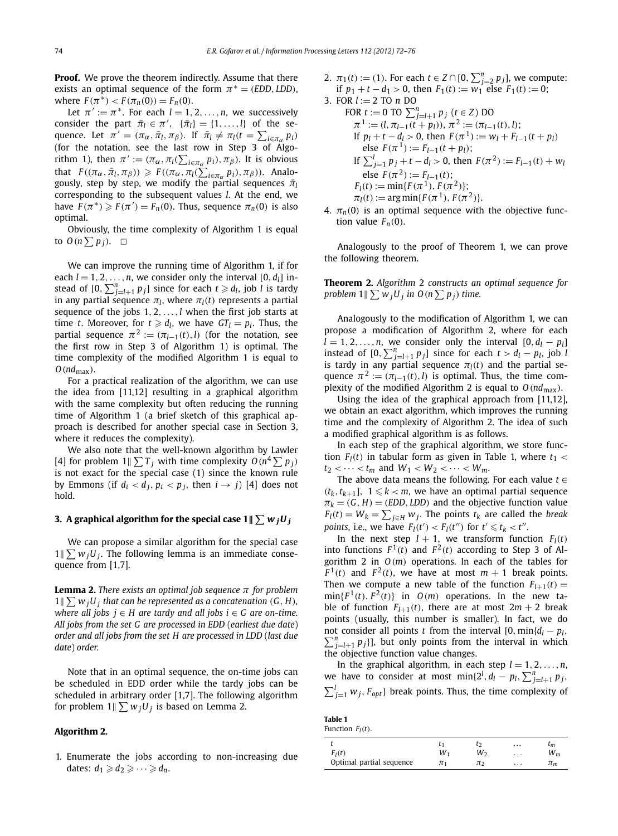**Proof.** We prove the theorem indirectly. Assume that there exists an optimal sequence of the form  $\pi$ <sup>\*</sup> = *(EDD, LDD*)*,* where  $F(\pi^*) < F(\pi_n(0)) = F_n(0)$ .

Let  $\pi' := \pi^*$ . For each  $l = 1, 2, ..., n$ , we successively consider the part  $\bar{\pi}_l \in \pi'$ ,  $\{\bar{\pi}_l\} = \{1, \ldots, l\}$  of the sequence. Let  $\pi' = (\pi_\alpha, \bar{\pi}_l, \pi_\beta)$ . If  $\bar{\pi}_l \neq \pi_l(t = \sum_{i \in \pi_\alpha} p_i)$ (for the notation, see the last row in Step 3 of Algorithm 1), then  $\pi' := (\pi_\alpha, \pi_l(\sum_{i \in \pi_\alpha} p_i), \pi_\beta)$ . It is obvious that  $F((\pi_\alpha, \bar{\pi}_l, \pi_\beta)) \geq F((\pi_\alpha, \pi_l(\sum_{i \in \pi_\alpha} p_i), \pi_\beta))$ . Analogously, step by step, we modify the partial sequences  $\bar{\pi}_l$ corresponding to the subsequent values *l*. At the end, we have  $F(\pi^*) \geq F(\pi') = F_n(0)$ . Thus, sequence  $\pi_n(0)$  is also optimal.

Obviously, the time complexity of Algorithm 1 is equal to  $O(n \sum p_j)$ .  $\Box$ 

We can improve the running time of Algorithm 1, if for each  $l = 1, 2, \ldots, n$ , we consider only the interval  $[0, d_l]$  instead of  $[0, \sum_{j=l+1}^{n} p_j]$  since for each  $t \geqslant d_l$ , job *l* is tardy in any partial sequence  $\pi$ <sup>*l*</sup>, where  $\pi$ <sup>*l*</sup>(*t*) represents a partial sequence of the jobs 1*,* 2*,...,l* when the first job starts at time *t*. Moreover, for  $t \ge d_l$ , we have  $GT_l = p_l$ . Thus, the partial sequence  $\pi^2 := (\pi_{l-1}(t), l)$  (for the notation, see the first row in Step 3 of Algorithm 1) is optimal. The time complexity of the modified Algorithm 1 is equal to *O(nd*max*)*.

For a practical realization of the algorithm, we can use the idea from [11,12] resulting in a graphical algorithm with the same complexity but often reducing the running time of Algorithm 1 (a brief sketch of this graphical approach is described for another special case in Section 3, where it reduces the complexity).

We also note that the well-known algorithm by Lawler [4] for problem  $1 \leq T_j$  with time complexity  $O(n^4 \sum p_j)$ is not exact for the special case (1) since the known rule by Emmons (if  $d_i < d_j$ ,  $p_i < p_j$ , then  $i \rightarrow j$ ) [4] does not hold.

# 3. A graphical algorithm for the special case 1 ||  $\sum w_j U_j$

We can propose a similar algorithm for the special case  $1 \leq w_j U_j$ . The following lemma is an immediate consequence from [1,7].

**Lemma 2.** *There exists an optimal job sequence π for problem*  $1 \parallel \sum w_j U_j$  that can be represented as a concatenation  $(G, H)$ , *where all jobs*  $j \in H$  *are tardy and all jobs*  $i \in G$  *are on-time. All jobs from the set G are processed in EDD* (*earliest due date*) *order and all jobs from the set H are processed in LDD* (*last due date*) *order.*

Note that in an optimal sequence, the on-time jobs can be scheduled in EDD order while the tardy jobs can be scheduled in arbitrary order [1,7]. The following algorithm for problem  $1 \leq w_j U_j$  is based on Lemma 2.

#### **Algorithm 2.**

1. Enumerate the jobs according to non-increasing due dates:  $d_1 \geqslant d_2 \geqslant \cdots \geqslant d_n$ .

- 2.  $\pi_1(t) := (1)$ . For each  $t \in Z \cap [0, \sum_{j=2}^n p_j]$ , we compute: if *p*<sub>1</sub> + *t* − *d*<sub>1</sub> > 0, then *F*<sub>1</sub>(*t*) := *w*<sub>1</sub> else *F*<sub>1</sub>(*t*) := 0;
- 3. FOR *l* := 2 TO *n* DO  $FOR_t := 0$  TO  $\sum_{j=l+1}^{n} p_j$  ( $t \in Z$ ) DO  $\pi^1 := (l, \pi_{l-1}(t + p_l)), \pi^2 := (\pi_{l-1}(t), l);$ If  $p_l + t - d_l > 0$ , then  $F(\pi^1) := w_l + F_{l-1}(t + p_l)$  $\text{else } F(\pi^1) := F_{l-1}(t + p_l);$ If  $\sum_{j=1}^{l} p_j + t - d_l > 0$ , then  $F(\pi^2) := F_{l-1}(t) + w_l$ else  $F(\pi^2) := F_{l-1}(t)$ ;  $F_l(t) := \min\{F(\pi^1), F(\pi^2)\}$ ;  $\pi_l(t) := \arg \min\{F(\pi^1), F(\pi^2)\}.$
- 4.  $\pi_n(0)$  is an optimal sequence with the objective function value  $F_n(0)$ .

Analogously to the proof of Theorem 1, we can prove the following theorem.

**Theorem 2.** *Algorithm* 2 *constructs an optimal sequence for* problem  $1 \| \sum w_j U_j$  in  $O(n \sum p_j)$  time.

Analogously to the modification of Algorithm 1, we can propose a modification of Algorithm 2, where for each  $l = 1, 2, \ldots, n$ , we consider only the interval  $[0, d_l - p_l]$ instead of  $[0, \sum_{j=l+1}^{n} p_j]$  since for each  $t > d_l - p_l$ , job *l* is tardy in any partial sequence  $\pi_l(t)$  and the partial sequence  $\pi^2 := (\pi_{l-1}(t), l)$  is optimal. Thus, the time complexity of the modified Algorithm 2 is equal to  $O(nd_{\text{max}})$ .

Using the idea of the graphical approach from [11,12], we obtain an exact algorithm, which improves the running time and the complexity of Algorithm 2. The idea of such a modified graphical algorithm is as follows.

In each step of the graphical algorithm, we store function  $F_l(t)$  in tabular form as given in Table 1, where  $t_1 <$  $t_2$  *<*  $\cdots$  *< t<sub>m</sub>* and  $W_1$  *< W<sub>2</sub> <*  $\cdots$  *< W<sub>m</sub>.* 

The above data means the following. For each value *t* ∈  $(t_k, t_{k+1}]$ ,  $1 \leq k < m$ , we have an optimal partial sequence  $\pi_k = (G, H) = (EDD, LDD)$  and the objective function value  $F_l(t) = W_k = \sum_{j \in H} w_j$ . The points  $t_k$  are called the *break points*, i.e., we have  $F_l(t') < F_l(t'')$  for  $t' \leq t_k < t''$ .

In the next step  $l + 1$ , we transform function  $F_l(t)$ into functions  $F^1(t)$  and  $F^2(t)$  according to Step 3 of Algorithm 2 in *O(m)* operations. In each of the tables for  $F^1(t)$  and  $F^2(t)$ , we have at most  $m + 1$  break points. Then we compute a new table of the function  $F_{l+1}(t) =$  $min{F^1(t), F^2(t)}$  in  $O(m)$  operations. In the new table of function  $F_{l+1}(t)$ , there are at most  $2m + 2$  break points (usually, this number is smaller). In fact, we do not consider all points *t* from the interval [0*,*min{*dl* − *pl , <sup>n</sup>*  $\sum_{j=l+1}^{n} p_j$ ], but only points from the interval in which the objective function value changes.

In the graphical algorithm, in each step  $l = 1, 2, ..., n$ , we have to consider at most  $\min\{2^l, d_l - p_l, \sum_{j=l+1}^n p_j,$  $\sum_{j=1}^{l} w_j$ ,  $F_{opt}$ } break points. Thus, the time complexity of

| Table 1             |  |
|---------------------|--|
| Function $F_l(t)$ . |  |

|                          |    |    | $\cdots$ | $\iota_m$             |
|--------------------------|----|----|----------|-----------------------|
| $F_I(t)$                 | W۱ | W۰ | $\cdots$ | ${\color{black} W_m}$ |
| Optimal partial sequence | πι | π  | $\cdots$ | $\pi_m$               |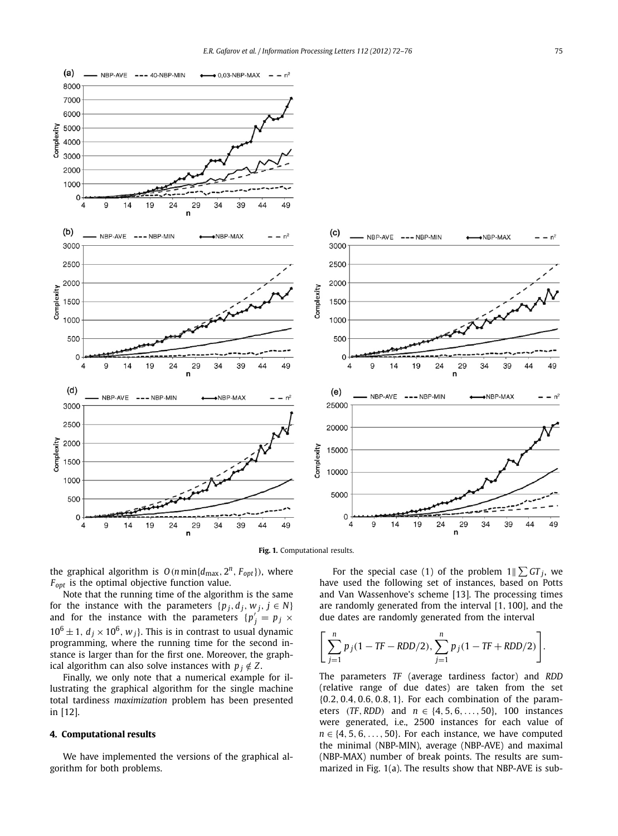



the graphical algorithm is  $O(n \min\{d_{\max}, 2^n, F_{opt}\})$ , where *Fopt* is the optimal objective function value.

Note that the running time of the algorithm is the same for the instance with the parameters  $\{p_j, d_j, w_j, j \in N\}$ and for the instance with the parameters  ${p'_j = p_j \times p_j}$  $10^6 \pm 1$ ,  $d_i \times 10^6$ ,  $w_i$ }. This is in contrast to usual dynamic programming, where the running time for the second instance is larger than for the first one. Moreover, the graphical algorithm can also solve instances with  $p_i \notin Z$ .

Finally, we only note that a numerical example for illustrating the graphical algorithm for the single machine total tardiness *maximization* problem has been presented in [12].

## **4. Computational results**

We have implemented the versions of the graphical algorithm for both problems.

For the special case (1) of the problem  $1 \leq C \cdot T_j$ , we have used the following set of instances, based on Potts and Van Wassenhove's scheme [13]. The processing times are randomly generated from the interval [1*,* 100], and the due dates are randomly generated from the interval

$$
\left[\sum_{j=1}^{n} p_j (1 - TF - RDD/2), \sum_{j=1}^{n} p_j (1 - TF + RDD/2)\right].
$$

The parameters *TF* (average tardiness factor) and *RDD* (relative range of due dates) are taken from the set {0*.*2*,* 0*.*4*,* 0*.*6*,* 0*.*8*,* 1}. For each combination of the parameters *(TF, RDD)* and *n* ∈ {4*,* 5*,* 6*,...,* 50}, 100 instances were generated, i.e., 2500 instances for each value of  $n \in \{4, 5, 6, \ldots, 50\}$ . For each instance, we have computed the minimal (NBP-MIN), average (NBP-AVE) and maximal (NBP-MAX) number of break points. The results are summarized in Fig. 1(a). The results show that NBP-AVE is sub